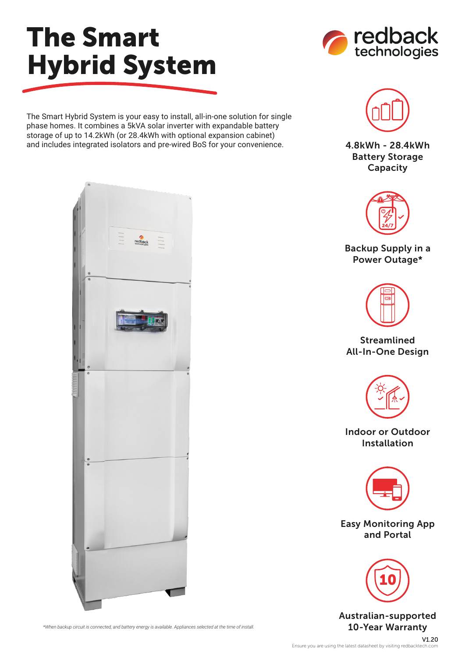## The Smart Hybrid System



The Smart Hybrid System is your easy to install, all-in-one solution for single phase homes. It combines a 5kVA solar inverter with expandable battery storage of up to 14.2kWh (or 28.4kWh with optional expansion cabinet) and includes integrated isolators and pre-wired BoS for your convenience.



4.8kWh - 28.4kWh Battery Storage Capacity



Backup Supply in a Power Outage\*



## Streamlined All-In-One Design



Indoor or Outdoor Installation



Easy Monitoring App and Portal



Australian-supported



\*When backup circuit is connected, and battery energy is available. Appliances selected at the time of install. **10-Year Warranty**